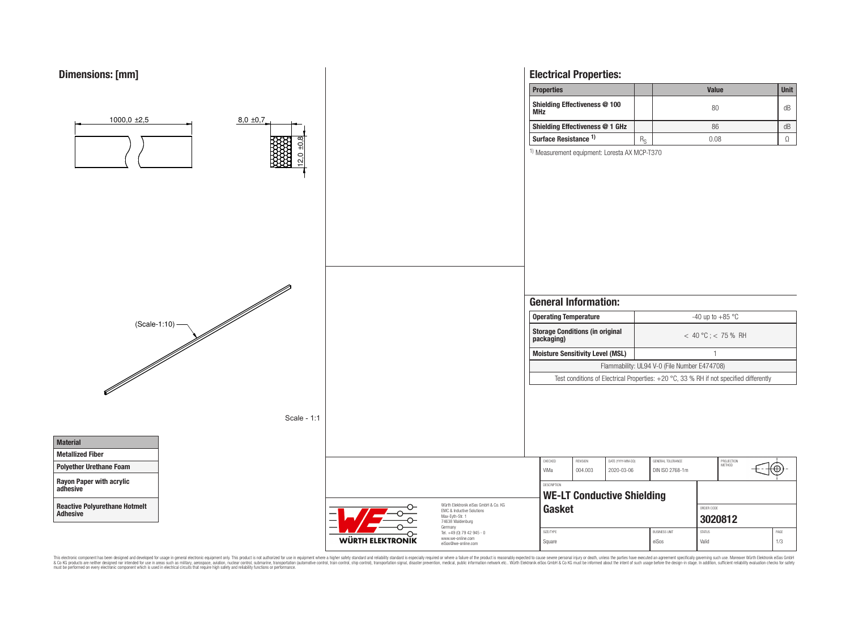

This electronic component has been designed and developed for usage in general electronic equipment only. This product is not authorized for use in equipment where a higher safely standard and reliability standard si espec & Ook product a label and the membed of the seasuch as marked and as which such a membed and the such assume that income in the seasuch and the simulation and the such assume that include to the such a membed and the such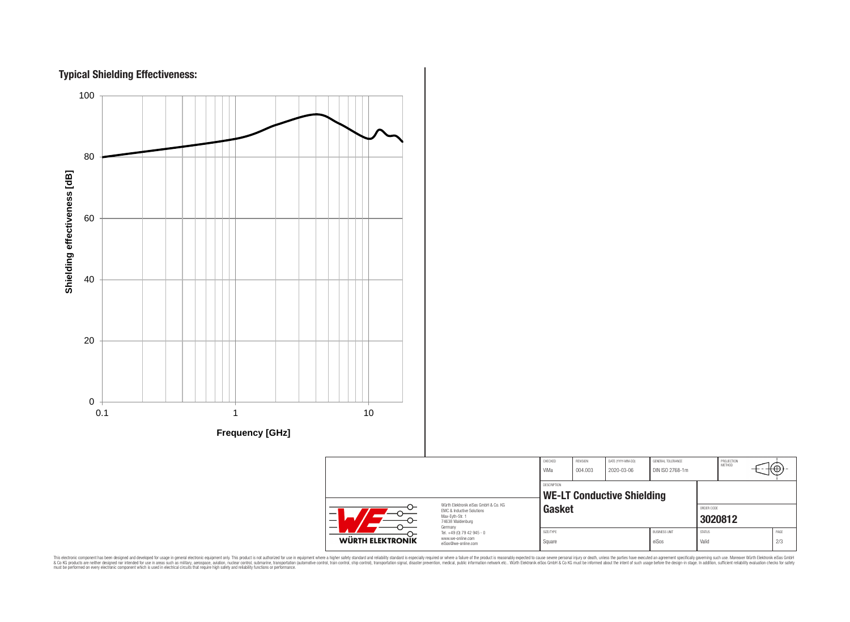



|                         |                                                                                                                                                                  | CHECKED<br>ViMa                                            | REVISION<br>004.003 | DATE (YYYY-MM-DD)<br>2020-03-06 | <b>GENERAL TOLERANCE</b><br>DIN ISO 2768-1m |                        | PROJECTION<br>METHOD | €Θ |             |
|-------------------------|------------------------------------------------------------------------------------------------------------------------------------------------------------------|------------------------------------------------------------|---------------------|---------------------------------|---------------------------------------------|------------------------|----------------------|----|-------------|
|                         | Würth Elektronik eiSos GmbH & Co. KG                                                                                                                             | DESCRIPTION<br><b>WE-LT Conductive Shielding</b><br>Gasket |                     |                                 |                                             |                        |                      |    |             |
| <b>WÜRTH ELEKTRONIK</b> | <b>EMC &amp; Inductive Solutions</b><br>Max-Evth-Str. 1<br>74638 Waldenburg<br>Germany<br>Tel. +49 (0) 79 42 945 - 0<br>www.we-online.com<br>eiSos@we-online.com |                                                            |                     |                                 |                                             | ORDER CODE<br>3020812  |                      |    |             |
|                         |                                                                                                                                                                  | SIZE/TYPE<br>Square                                        |                     |                                 | <b>BUSINESS UNIT</b><br>eiSos               | <b>STATUS</b><br>Valid |                      |    | PAGE<br>2/3 |

This electronic component has been designed and developed for usage in general electronic equipment only. This product is not authorized for subserved requipment where a higher selection equipment where a higher selection